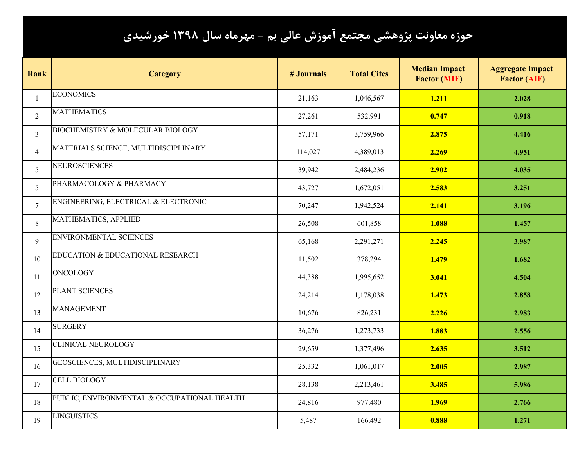## **حوزه معاونت پژوهشي مجتمع آموزش عالي بم - مهرماه سال 1398 خورشيدي**

| <b>Rank</b>     | <b>Category</b>                             | <b># Journals</b> | <b>Total Cites</b> | <b>Median Impact</b><br><b>Factor (MIF)</b> | <b>Aggregate Impact</b><br><b>Factor (AIF)</b> |
|-----------------|---------------------------------------------|-------------------|--------------------|---------------------------------------------|------------------------------------------------|
| $\mathbf{1}$    | <b>ECONOMICS</b>                            | 21,163            | 1,046,567          | 1.211                                       | 2.028                                          |
| $\overline{2}$  | <b>MATHEMATICS</b>                          | 27,261            | 532,991            | 0.747                                       | 0.918                                          |
| $\overline{3}$  | <b>BIOCHEMISTRY &amp; MOLECULAR BIOLOGY</b> | 57,171            | 3,759,966          | 2.875                                       | 4.416                                          |
| $\overline{4}$  | MATERIALS SCIENCE, MULTIDISCIPLINARY        | 114,027           | 4,389,013          | 2.269                                       | 4.951                                          |
| 5 <sup>5</sup>  | <b>NEUROSCIENCES</b>                        | 39,942            | 2,484,236          | 2.902                                       | 4.035                                          |
| 5 <sup>5</sup>  | PHARMACOLOGY & PHARMACY                     | 43,727            | 1,672,051          | 2.583                                       | 3.251                                          |
| $7\overline{ }$ | ENGINEERING, ELECTRICAL & ELECTRONIC        | 70,247            | 1,942,524          | 2.141                                       | 3.196                                          |
| 8               | MATHEMATICS, APPLIED                        | 26,508            | 601,858            | 1.088                                       | 1.457                                          |
| 9               | <b>ENVIRONMENTAL SCIENCES</b>               | 65,168            | 2,291,271          | 2.245                                       | 3.987                                          |
| 10              | EDUCATION & EDUCATIONAL RESEARCH            | 11,502            | 378,294            | 1.479                                       | 1.682                                          |
| 11              | <b>ONCOLOGY</b>                             | 44,388            | 1,995,652          | 3.041                                       | 4.504                                          |
| 12              | PLANT SCIENCES                              | 24,214            | 1,178,038          | 1.473                                       | 2.858                                          |
| 13              | <b>MANAGEMENT</b>                           | 10,676            | 826,231            | 2.226                                       | 2.983                                          |
| 14              | <b>SURGERY</b>                              | 36,276            | 1,273,733          | 1.883                                       | 2.556                                          |
| 15              | <b>CLINICAL NEUROLOGY</b>                   | 29,659            | 1,377,496          | 2.635                                       | 3.512                                          |
| 16              | GEOSCIENCES, MULTIDISCIPLINARY              | 25,332            | 1,061,017          | 2.005                                       | 2.987                                          |
| 17              | <b>CELL BIOLOGY</b>                         | 28,138            | 2,213,461          | 3.485                                       | 5.986                                          |
| 18              | PUBLIC, ENVIRONMENTAL & OCCUPATIONAL HEALTH | 24,816            | 977,480            | 1.969                                       | 2.766                                          |
| 19              | <b>LINGUISTICS</b>                          | 5,487             | 166,492            | 0.888                                       | 1.271                                          |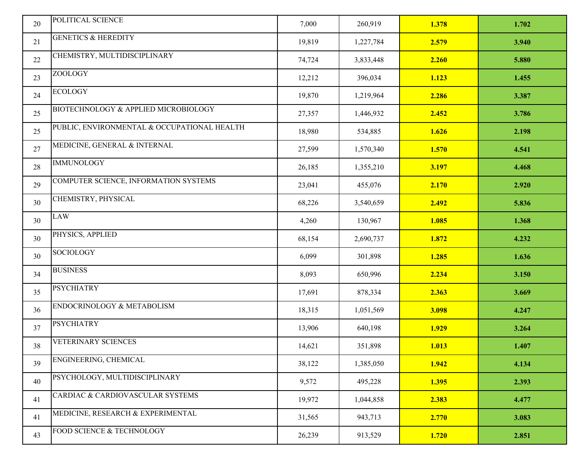| 20 | POLITICAL SCIENCE                           | 7,000  | 260,919   | 1.378 | 1.702 |
|----|---------------------------------------------|--------|-----------|-------|-------|
| 21 | <b>GENETICS &amp; HEREDITY</b>              | 19,819 | 1,227,784 | 2.579 | 3.940 |
| 22 | CHEMISTRY, MULTIDISCIPLINARY                | 74,724 | 3,833,448 | 2.260 | 5.880 |
| 23 | <b>ZOOLOGY</b>                              | 12,212 | 396,034   | 1.123 | 1.455 |
| 24 | <b>ECOLOGY</b>                              | 19,870 | 1,219,964 | 2.286 | 3.387 |
| 25 | BIOTECHNOLOGY & APPLIED MICROBIOLOGY        | 27,357 | 1,446,932 | 2.452 | 3.786 |
| 25 | PUBLIC, ENVIRONMENTAL & OCCUPATIONAL HEALTH | 18,980 | 534,885   | 1.626 | 2.198 |
| 27 | MEDICINE, GENERAL & INTERNAL                | 27,599 | 1,570,340 | 1.570 | 4.541 |
| 28 | <b>IMMUNOLOGY</b>                           | 26,185 | 1,355,210 | 3.197 | 4.468 |
| 29 | COMPUTER SCIENCE, INFORMATION SYSTEMS       | 23,041 | 455,076   | 2.170 | 2.920 |
| 30 | CHEMISTRY, PHYSICAL                         | 68,226 | 3,540,659 | 2.492 | 5.836 |
| 30 | <b>LAW</b>                                  | 4,260  | 130,967   | 1.085 | 1.368 |
| 30 | PHYSICS, APPLIED                            | 68,154 | 2,690,737 | 1.872 | 4.232 |
| 30 | <b>SOCIOLOGY</b>                            | 6,099  | 301,898   | 1.285 | 1.636 |
| 34 | <b>BUSINESS</b>                             | 8,093  | 650,996   | 2.234 | 3.150 |
| 35 | <b>PSYCHIATRY</b>                           | 17,691 | 878,334   | 2.363 | 3.669 |
| 36 | ENDOCRINOLOGY & METABOLISM                  | 18,315 | 1,051,569 | 3.098 | 4.247 |
| 37 | <b>PSYCHIATRY</b>                           | 13,906 | 640,198   | 1.929 | 3.264 |
| 38 | <b>VETERINARY SCIENCES</b>                  | 14,621 | 351,898   | 1.013 | 1.407 |
| 39 | ENGINEERING, CHEMICAL                       | 38,122 | 1,385,050 | 1.942 | 4.134 |
| 40 | PSYCHOLOGY, MULTIDISCIPLINARY               | 9,572  | 495,228   | 1.395 | 2.393 |
| 41 | CARDIAC & CARDIOVASCULAR SYSTEMS            | 19,972 | 1,044,858 | 2.383 | 4.477 |
| 41 | MEDICINE, RESEARCH & EXPERIMENTAL           | 31,565 | 943,713   | 2.770 | 3.083 |
| 43 | FOOD SCIENCE & TECHNOLOGY                   | 26,239 | 913,529   | 1.720 | 2.851 |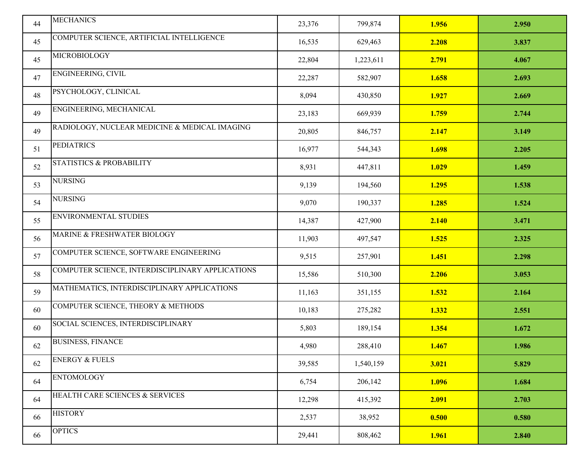|    | <b>MECHANICS</b>                                 |        |           |       |       |
|----|--------------------------------------------------|--------|-----------|-------|-------|
| 44 |                                                  | 23,376 | 799,874   | 1.956 | 2.950 |
| 45 | COMPUTER SCIENCE, ARTIFICIAL INTELLIGENCE        | 16,535 | 629,463   | 2.208 | 3.837 |
| 45 | <b>MICROBIOLOGY</b>                              | 22,804 | 1,223,611 | 2.791 | 4.067 |
| 47 | ENGINEERING, CIVIL                               | 22,287 | 582,907   | 1.658 | 2.693 |
| 48 | PSYCHOLOGY, CLINICAL                             | 8,094  | 430,850   | 1.927 | 2.669 |
| 49 | ENGINEERING, MECHANICAL                          | 23,183 | 669,939   | 1.759 | 2.744 |
| 49 | RADIOLOGY, NUCLEAR MEDICINE & MEDICAL IMAGING    | 20,805 | 846,757   | 2.147 | 3.149 |
| 51 | <b>PEDIATRICS</b>                                | 16,977 | 544,343   | 1.698 | 2.205 |
| 52 | <b>STATISTICS &amp; PROBABILITY</b>              | 8,931  | 447,811   | 1.029 | 1.459 |
| 53 | <b>NURSING</b>                                   | 9,139  | 194,560   | 1.295 | 1.538 |
| 54 | <b>NURSING</b>                                   | 9,070  | 190,337   | 1.285 | 1.524 |
| 55 | <b>ENVIRONMENTAL STUDIES</b>                     | 14,387 | 427,900   | 2.140 | 3.471 |
| 56 | MARINE & FRESHWATER BIOLOGY                      | 11,903 | 497,547   | 1.525 | 2.325 |
| 57 | COMPUTER SCIENCE, SOFTWARE ENGINEERING           | 9,515  | 257,901   | 1.451 | 2.298 |
| 58 | COMPUTER SCIENCE, INTERDISCIPLINARY APPLICATIONS | 15,586 | 510,300   | 2.206 | 3.053 |
| 59 | MATHEMATICS, INTERDISCIPLINARY APPLICATIONS      | 11,163 | 351,155   | 1.532 | 2.164 |
| 60 | COMPUTER SCIENCE, THEORY & METHODS               | 10,183 | 275,282   | 1.332 | 2.551 |
| 60 | SOCIAL SCIENCES, INTERDISCIPLINARY               | 5,803  | 189,154   | 1.354 | 1.672 |
| 62 | <b>BUSINESS, FINANCE</b>                         | 4,980  | 288,410   | 1.467 | 1.986 |
| 62 | <b>ENERGY &amp; FUELS</b>                        | 39,585 | 1,540,159 | 3.021 | 5.829 |
| 64 | <b>ENTOMOLOGY</b>                                | 6,754  | 206,142   | 1.096 | 1.684 |
| 64 | HEALTH CARE SCIENCES & SERVICES                  | 12,298 | 415,392   | 2.091 | 2.703 |
| 66 | <b>HISTORY</b>                                   | 2,537  | 38,952    | 0.500 | 0.580 |
| 66 | <b>OPTICS</b>                                    | 29,441 | 808,462   | 1.961 | 2.840 |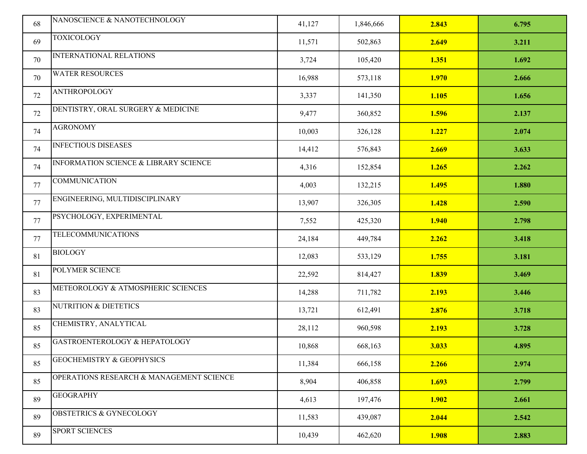| 68 | NANOSCIENCE & NANOTECHNOLOGY                     | 41,127 | 1,846,666 | 2.843 | 6.795 |
|----|--------------------------------------------------|--------|-----------|-------|-------|
| 69 | <b>TOXICOLOGY</b>                                | 11,571 | 502,863   | 2.649 | 3.211 |
| 70 | INTERNATIONAL RELATIONS                          | 3,724  | 105,420   | 1.351 | 1.692 |
| 70 | <b>WATER RESOURCES</b>                           | 16,988 | 573,118   | 1.970 | 2.666 |
| 72 | <b>ANTHROPOLOGY</b>                              | 3,337  | 141,350   | 1.105 | 1.656 |
| 72 | DENTISTRY, ORAL SURGERY & MEDICINE               | 9,477  | 360,852   | 1.596 | 2.137 |
| 74 | <b>AGRONOMY</b>                                  | 10,003 | 326,128   | 1.227 | 2.074 |
| 74 | <b>INFECTIOUS DISEASES</b>                       | 14,412 | 576,843   | 2.669 | 3.633 |
| 74 | <b>INFORMATION SCIENCE &amp; LIBRARY SCIENCE</b> | 4,316  | 152,854   | 1.265 | 2.262 |
| 77 | <b>COMMUNICATION</b>                             | 4,003  | 132,215   | 1.495 | 1.880 |
| 77 | ENGINEERING, MULTIDISCIPLINARY                   | 13,907 | 326,305   | 1.428 | 2.590 |
| 77 | PSYCHOLOGY, EXPERIMENTAL                         | 7,552  | 425,320   | 1.940 | 2.798 |
| 77 | <b>TELECOMMUNICATIONS</b>                        | 24,184 | 449,784   | 2.262 | 3.418 |
| 81 | <b>BIOLOGY</b>                                   | 12,083 | 533,129   | 1.755 | 3.181 |
| 81 | POLYMER SCIENCE                                  | 22,592 | 814,427   | 1.839 | 3.469 |
| 83 | METEOROLOGY & ATMOSPHERIC SCIENCES               | 14,288 | 711,782   | 2.193 | 3.446 |
| 83 | <b>NUTRITION &amp; DIETETICS</b>                 | 13,721 | 612,491   | 2.876 | 3.718 |
| 85 | CHEMISTRY, ANALYTICAL                            | 28,112 | 960,598   | 2.193 | 3.728 |
| 85 | GASTROENTEROLOGY & HEPATOLOGY                    | 10,868 | 668,163   | 3.033 | 4.895 |
| 85 | <b>GEOCHEMISTRY &amp; GEOPHYSICS</b>             | 11,384 | 666,158   | 2.266 | 2.974 |
| 85 | OPERATIONS RESEARCH & MANAGEMENT SCIENCE         | 8,904  | 406,858   | 1.693 | 2.799 |
| 89 | <b>GEOGRAPHY</b>                                 | 4,613  | 197,476   | 1.902 | 2.661 |
| 89 | <b>OBSTETRICS &amp; GYNECOLOGY</b>               | 11,583 | 439,087   | 2.044 | 2.542 |
| 89 | SPORT SCIENCES                                   | 10,439 | 462,620   | 1.908 | 2.883 |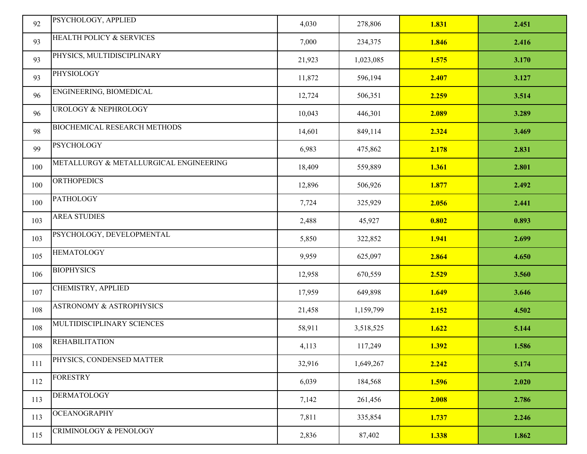| 92  | PSYCHOLOGY, APPLIED                    | 4,030  | 278,806   | 1.831 | 2.451 |
|-----|----------------------------------------|--------|-----------|-------|-------|
| 93  | <b>HEALTH POLICY &amp; SERVICES</b>    | 7,000  | 234,375   | 1.846 | 2.416 |
| 93  | PHYSICS, MULTIDISCIPLINARY             | 21,923 | 1,023,085 | 1.575 | 3.170 |
| 93  | PHYSIOLOGY                             | 11,872 | 596,194   | 2.407 | 3.127 |
| 96  | ENGINEERING, BIOMEDICAL                | 12,724 | 506,351   | 2.259 | 3.514 |
| 96  | <b>UROLOGY &amp; NEPHROLOGY</b>        | 10,043 | 446,301   | 2.089 | 3.289 |
| 98  | BIOCHEMICAL RESEARCH METHODS           | 14,601 | 849,114   | 2.324 | 3.469 |
| 99  | <b>PSYCHOLOGY</b>                      | 6,983  | 475,862   | 2.178 | 2.831 |
| 100 | METALLURGY & METALLURGICAL ENGINEERING | 18,409 | 559,889   | 1.361 | 2.801 |
| 100 | <b>ORTHOPEDICS</b>                     | 12,896 | 506,926   | 1.877 | 2.492 |
| 100 | <b>PATHOLOGY</b>                       | 7,724  | 325,929   | 2.056 | 2.441 |
| 103 | <b>AREA STUDIES</b>                    | 2,488  | 45,927    | 0.802 | 0.893 |
| 103 | PSYCHOLOGY, DEVELOPMENTAL              | 5,850  | 322,852   | 1.941 | 2.699 |
| 105 | <b>HEMATOLOGY</b>                      | 9,959  | 625,097   | 2.864 | 4.650 |
| 106 | <b>BIOPHYSICS</b>                      | 12,958 | 670,559   | 2.529 | 3.560 |
| 107 | CHEMISTRY, APPLIED                     | 17,959 | 649,898   | 1.649 | 3.646 |
| 108 | <b>ASTRONOMY &amp; ASTROPHYSICS</b>    | 21,458 | 1,159,799 | 2.152 | 4.502 |
| 108 | MULTIDISCIPLINARY SCIENCES             | 58,911 | 3,518,525 | 1.622 | 5.144 |
| 108 | <b>REHABILITATION</b>                  | 4,113  | 117,249   | 1.392 | 1.586 |
| 111 | PHYSICS, CONDENSED MATTER              | 32,916 | 1,649,267 | 2.242 | 5.174 |
| 112 | <b>FORESTRY</b>                        | 6,039  | 184,568   | 1.596 | 2.020 |
| 113 | <b>DERMATOLOGY</b>                     | 7,142  | 261,456   | 2.008 | 2.786 |
| 113 | <b>OCEANOGRAPHY</b>                    | 7,811  | 335,854   | 1.737 | 2.246 |
| 115 | CRIMINOLOGY & PENOLOGY                 | 2,836  | 87,402    | 1.338 | 1.862 |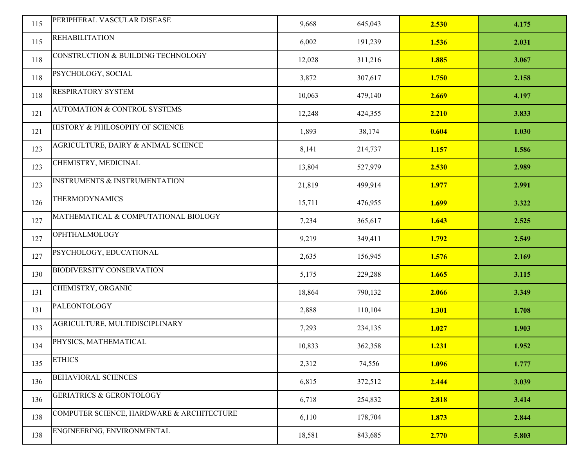| 115 | PERIPHERAL VASCULAR DISEASE               | 9,668  | 645,043 | 2.530 | 4.175 |
|-----|-------------------------------------------|--------|---------|-------|-------|
| 115 | <b>REHABILITATION</b>                     | 6,002  | 191,239 | 1.536 | 2.031 |
| 118 | CONSTRUCTION & BUILDING TECHNOLOGY        | 12,028 | 311,216 | 1.885 | 3.067 |
| 118 | PSYCHOLOGY, SOCIAL                        | 3,872  | 307,617 | 1.750 | 2.158 |
| 118 | <b>RESPIRATORY SYSTEM</b>                 | 10,063 | 479,140 | 2.669 | 4.197 |
| 121 | <b>AUTOMATION &amp; CONTROL SYSTEMS</b>   | 12,248 | 424,355 | 2.210 | 3.833 |
| 121 | HISTORY & PHILOSOPHY OF SCIENCE           | 1,893  | 38,174  | 0.604 | 1.030 |
| 123 | AGRICULTURE, DAIRY & ANIMAL SCIENCE       | 8,141  | 214,737 | 1.157 | 1.586 |
| 123 | CHEMISTRY, MEDICINAL                      | 13,804 | 527,979 | 2.530 | 2.989 |
| 123 | <b>INSTRUMENTS &amp; INSTRUMENTATION</b>  | 21,819 | 499,914 | 1.977 | 2.991 |
| 126 | <b>THERMODYNAMICS</b>                     | 15,711 | 476,955 | 1.699 | 3.322 |
| 127 | MATHEMATICAL & COMPUTATIONAL BIOLOGY      | 7,234  | 365,617 | 1.643 | 2.525 |
| 127 | <b>OPHTHALMOLOGY</b>                      | 9,219  | 349,411 | 1.792 | 2.549 |
| 127 | PSYCHOLOGY, EDUCATIONAL                   | 2,635  | 156,945 | 1.576 | 2.169 |
| 130 | <b>BIODIVERSITY CONSERVATION</b>          | 5,175  | 229,288 | 1.665 | 3.115 |
| 131 | CHEMISTRY, ORGANIC                        | 18,864 | 790,132 | 2.066 | 3.349 |
| 131 | PALEONTOLOGY                              | 2,888  | 110,104 | 1.301 | 1.708 |
| 133 | AGRICULTURE, MULTIDISCIPLINARY            | 7,293  | 234,135 | 1.027 | 1.903 |
| 134 | PHYSICS, MATHEMATICAL                     | 10,833 | 362,358 | 1.231 | 1.952 |
| 135 | <b>ETHICS</b>                             | 2,312  | 74,556  | 1.096 | 1.777 |
| 136 | BEHAVIORAL SCIENCES                       | 6,815  | 372,512 | 2.444 | 3.039 |
| 136 | <b>GERIATRICS &amp; GERONTOLOGY</b>       | 6,718  | 254,832 | 2.818 | 3.414 |
| 138 | COMPUTER SCIENCE, HARDWARE & ARCHITECTURE | 6,110  | 178,704 | 1.873 | 2.844 |
| 138 | ENGINEERING, ENVIRONMENTAL                | 18,581 | 843,685 | 2.770 | 5.803 |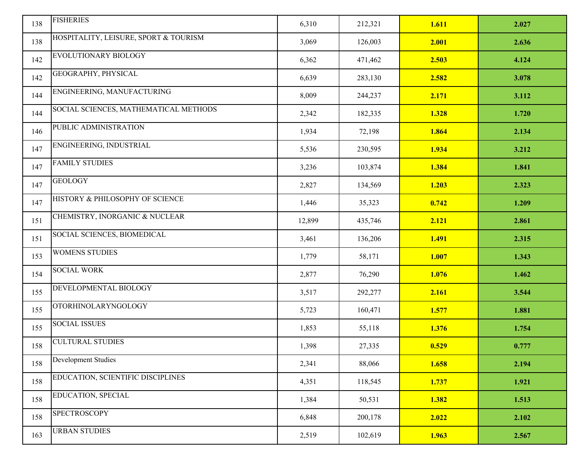| 138 | <b>FISHERIES</b>                      | 6,310  | 212,321 | 1.611 | 2.027 |
|-----|---------------------------------------|--------|---------|-------|-------|
| 138 | HOSPITALITY, LEISURE, SPORT & TOURISM | 3,069  | 126,003 | 2.001 | 2.636 |
| 142 | EVOLUTIONARY BIOLOGY                  | 6,362  | 471,462 | 2.503 | 4.124 |
| 142 | GEOGRAPHY, PHYSICAL                   | 6,639  | 283,130 | 2.582 | 3.078 |
| 144 | ENGINEERING, MANUFACTURING            | 8,009  | 244,237 | 2.171 | 3.112 |
| 144 | SOCIAL SCIENCES, MATHEMATICAL METHODS | 2,342  | 182,335 | 1.328 | 1.720 |
| 146 | PUBLIC ADMINISTRATION                 | 1,934  | 72,198  | 1.864 | 2.134 |
| 147 | ENGINEERING, INDUSTRIAL               | 5,536  | 230,595 | 1.934 | 3.212 |
| 147 | <b>FAMILY STUDIES</b>                 | 3,236  | 103,874 | 1.384 | 1.841 |
| 147 | <b>GEOLOGY</b>                        | 2,827  | 134,569 | 1.203 | 2.323 |
| 147 | HISTORY & PHILOSOPHY OF SCIENCE       | 1,446  | 35,323  | 0.742 | 1.209 |
| 151 | CHEMISTRY, INORGANIC & NUCLEAR        | 12,899 | 435,746 | 2.121 | 2.861 |
| 151 | SOCIAL SCIENCES, BIOMEDICAL           | 3,461  | 136,206 | 1.491 | 2.315 |
| 153 | <b>WOMENS STUDIES</b>                 | 1,779  | 58,171  | 1.007 | 1.343 |
| 154 | <b>SOCIAL WORK</b>                    | 2,877  | 76,290  | 1.076 | 1.462 |
| 155 | DEVELOPMENTAL BIOLOGY                 | 3,517  | 292,277 | 2.161 | 3.544 |
| 155 | <b>OTORHINOLARYNGOLOGY</b>            | 5,723  | 160,471 | 1.577 | 1.881 |
| 155 | <b>SOCIAL ISSUES</b>                  | 1,853  | 55,118  | 1.376 | 1.754 |
| 158 | <b>CULTURAL STUDIES</b>               | 1,398  | 27,335  | 0.529 | 0.777 |
| 158 | <b>Development Studies</b>            | 2,341  | 88,066  | 1.658 | 2.194 |
| 158 | EDUCATION, SCIENTIFIC DISCIPLINES     | 4,351  | 118,545 | 1.737 | 1.921 |
| 158 | EDUCATION, SPECIAL                    | 1,384  | 50,531  | 1.382 | 1.513 |
| 158 | SPECTROSCOPY                          | 6,848  | 200,178 | 2.022 | 2.102 |
| 163 | <b>URBAN STUDIES</b>                  | 2,519  | 102,619 | 1.963 | 2.567 |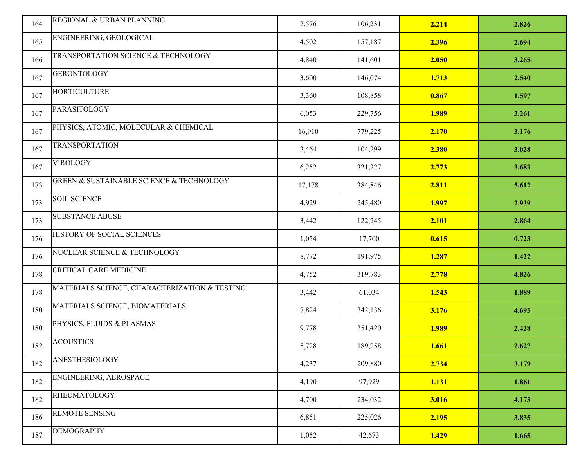| 164 | REGIONAL & URBAN PLANNING                               | 2,576  | 106,231 | 2.214 | 2.826 |
|-----|---------------------------------------------------------|--------|---------|-------|-------|
| 165 | ENGINEERING, GEOLOGICAL                                 | 4,502  | 157,187 | 2.396 | 2.694 |
| 166 | TRANSPORTATION SCIENCE & TECHNOLOGY                     | 4,840  | 141,601 | 2.050 | 3.265 |
| 167 | <b>GERONTOLOGY</b>                                      | 3,600  | 146,074 | 1.713 | 2.540 |
| 167 | <b>HORTICULTURE</b>                                     | 3,360  | 108,858 | 0.867 | 1.597 |
| 167 | PARASITOLOGY                                            | 6,053  | 229,756 | 1.989 | 3.261 |
| 167 | PHYSICS, ATOMIC, MOLECULAR & CHEMICAL                   | 16,910 | 779,225 | 2.170 | 3.176 |
| 167 | <b>TRANSPORTATION</b>                                   | 3,464  | 104,299 | 2.380 | 3.028 |
| 167 | <b>VIROLOGY</b>                                         | 6,252  | 321,227 | 2.773 | 3.683 |
| 173 | <b>GREEN &amp; SUSTAINABLE SCIENCE &amp; TECHNOLOGY</b> | 17,178 | 384,846 | 2.811 | 5.612 |
| 173 | <b>SOIL SCIENCE</b>                                     | 4,929  | 245,480 | 1.997 | 2.939 |
| 173 | <b>SUBSTANCE ABUSE</b>                                  | 3,442  | 122,245 | 2.101 | 2.864 |
| 176 | HISTORY OF SOCIAL SCIENCES                              | 1,054  | 17,700  | 0.615 | 0.723 |
| 176 | NUCLEAR SCIENCE & TECHNOLOGY                            | 8,772  | 191,975 | 1.287 | 1.422 |
| 178 | <b>CRITICAL CARE MEDICINE</b>                           | 4,752  | 319,783 | 2.778 | 4.826 |
| 178 | MATERIALS SCIENCE, CHARACTERIZATION & TESTING           | 3,442  | 61,034  | 1.543 | 1.889 |
| 180 | MATERIALS SCIENCE, BIOMATERIALS                         | 7,824  | 342,136 | 3.176 | 4.695 |
| 180 | PHYSICS, FLUIDS & PLASMAS                               | 9,778  | 351,420 | 1.989 | 2.428 |
| 182 | <b>ACOUSTICS</b>                                        | 5,728  | 189,258 | 1.661 | 2.627 |
| 182 | ANESTHESIOLOGY                                          | 4,237  | 209,880 | 2.734 | 3.179 |
| 182 | ENGINEERING, AEROSPACE                                  | 4,190  | 97,929  | 1.131 | 1.861 |
| 182 | <b>RHEUMATOLOGY</b>                                     | 4,700  | 234,032 | 3.016 | 4.173 |
| 186 | <b>REMOTE SENSING</b>                                   | 6,851  | 225,026 | 2.195 | 3.835 |
| 187 | <b>DEMOGRAPHY</b>                                       | 1,052  | 42,673  | 1.429 | 1.665 |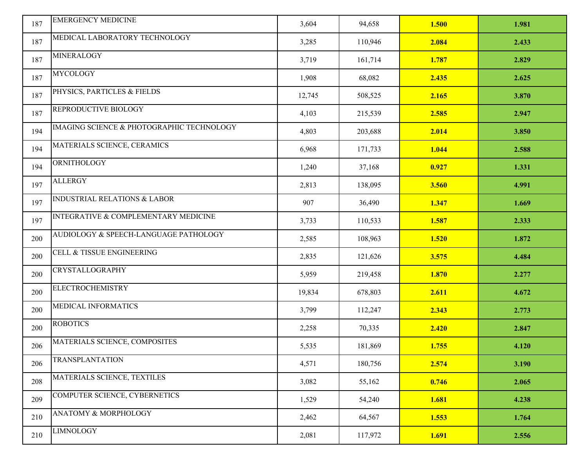| 187 | <b>EMERGENCY MEDICINE</b>                       | 3,604  | 94,658  | 1.500 | 1.981 |
|-----|-------------------------------------------------|--------|---------|-------|-------|
| 187 | MEDICAL LABORATORY TECHNOLOGY                   | 3,285  | 110,946 | 2.084 | 2.433 |
| 187 | <b>MINERALOGY</b>                               | 3,719  | 161,714 | 1.787 | 2.829 |
| 187 | <b>MYCOLOGY</b>                                 | 1,908  | 68,082  | 2.435 | 2.625 |
| 187 | PHYSICS, PARTICLES & FIELDS                     | 12,745 | 508,525 | 2.165 | 3.870 |
| 187 | REPRODUCTIVE BIOLOGY                            | 4,103  | 215,539 | 2.585 | 2.947 |
| 194 | IMAGING SCIENCE & PHOTOGRAPHIC TECHNOLOGY       | 4,803  | 203,688 | 2.014 | 3.850 |
| 194 | MATERIALS SCIENCE, CERAMICS                     | 6,968  | 171,733 | 1.044 | 2.588 |
| 194 | ORNITHOLOGY                                     | 1,240  | 37,168  | 0.927 | 1.331 |
| 197 | <b>ALLERGY</b>                                  | 2,813  | 138,095 | 3.560 | 4.991 |
| 197 | <b>INDUSTRIAL RELATIONS &amp; LABOR</b>         | 907    | 36,490  | 1.347 | 1.669 |
| 197 | <b>INTEGRATIVE &amp; COMPLEMENTARY MEDICINE</b> | 3,733  | 110,533 | 1.587 | 2.333 |
| 200 | AUDIOLOGY & SPEECH-LANGUAGE PATHOLOGY           | 2,585  | 108,963 | 1.520 | 1.872 |
| 200 | <b>CELL &amp; TISSUE ENGINEERING</b>            | 2,835  | 121,626 | 3.575 | 4.484 |
| 200 | <b>CRYSTALLOGRAPHY</b>                          | 5,959  | 219,458 | 1.870 | 2.277 |
| 200 | <b>ELECTROCHEMISTRY</b>                         | 19,834 | 678,803 | 2.611 | 4.672 |
| 200 | MEDICAL INFORMATICS                             | 3,799  | 112,247 | 2.343 | 2.773 |
| 200 | <b>ROBOTICS</b>                                 | 2,258  | 70,335  | 2.420 | 2.847 |
| 206 | MATERIALS SCIENCE, COMPOSITES                   | 5,535  | 181,869 | 1.755 | 4.120 |
| 206 | <b>TRANSPLANTATION</b>                          | 4,571  | 180,756 | 2.574 | 3.190 |
| 208 | MATERIALS SCIENCE, TEXTILES                     | 3,082  | 55,162  | 0.746 | 2.065 |
| 209 | COMPUTER SCIENCE, CYBERNETICS                   | 1,529  | 54,240  | 1.681 | 4.238 |
| 210 | ANATOMY & MORPHOLOGY                            | 2,462  | 64,567  | 1.553 | 1.764 |
| 210 | <b>LIMNOLOGY</b>                                | 2,081  | 117,972 | 1.691 | 2.556 |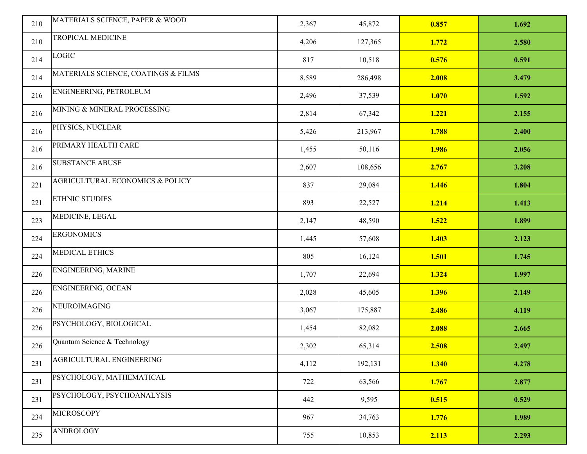| 210 | MATERIALS SCIENCE, PAPER & WOOD            | 2,367 | 45,872  | 0.857 | 1.692 |
|-----|--------------------------------------------|-------|---------|-------|-------|
|     | TROPICAL MEDICINE                          |       |         |       |       |
| 210 |                                            | 4,206 | 127,365 | 1.772 | 2.580 |
| 214 | <b>LOGIC</b>                               | 817   | 10,518  | 0.576 | 0.591 |
| 214 | MATERIALS SCIENCE, COATINGS & FILMS        | 8,589 | 286,498 | 2.008 | 3.479 |
| 216 | ENGINEERING, PETROLEUM                     | 2,496 | 37,539  | 1.070 | 1.592 |
| 216 | MINING & MINERAL PROCESSING                | 2,814 | 67,342  | 1.221 | 2.155 |
| 216 | PHYSICS, NUCLEAR                           | 5,426 | 213,967 | 1.788 | 2.400 |
| 216 | PRIMARY HEALTH CARE                        | 1,455 | 50,116  | 1.986 | 2.056 |
| 216 | <b>SUBSTANCE ABUSE</b>                     | 2,607 | 108,656 | 2.767 | 3.208 |
| 221 | <b>AGRICULTURAL ECONOMICS &amp; POLICY</b> | 837   | 29,084  | 1.446 | 1.804 |
| 221 | <b>ETHNIC STUDIES</b>                      | 893   | 22,527  | 1.214 | 1.413 |
| 223 | MEDICINE, LEGAL                            | 2,147 | 48,590  | 1.522 | 1.899 |
| 224 | <b>ERGONOMICS</b>                          | 1,445 | 57,608  | 1.403 | 2.123 |
| 224 | MEDICAL ETHICS                             | 805   | 16,124  | 1.501 | 1.745 |
| 226 | ENGINEERING, MARINE                        | 1,707 | 22,694  | 1.324 | 1.997 |
| 226 | ENGINEERING, OCEAN                         | 2,028 | 45,605  | 1.396 | 2.149 |
| 226 | NEUROIMAGING                               | 3,067 | 175,887 | 2.486 | 4.119 |
| 226 | PSYCHOLOGY, BIOLOGICAL                     | 1,454 | 82,082  | 2.088 | 2.665 |
| 226 | Quantum Science & Technology               | 2,302 | 65,314  | 2.508 | 2.497 |
| 231 | AGRICULTURAL ENGINEERING                   | 4,112 | 192,131 | 1.340 | 4.278 |
| 231 | PSYCHOLOGY, MATHEMATICAL                   | 722   | 63,566  | 1.767 | 2.877 |
| 231 | PSYCHOLOGY, PSYCHOANALYSIS                 | 442   | 9,595   | 0.515 | 0.529 |
| 234 | <b>MICROSCOPY</b>                          | 967   | 34,763  | 1.776 | 1.989 |
| 235 | <b>ANDROLOGY</b>                           | 755   | 10,853  | 2.113 | 2.293 |